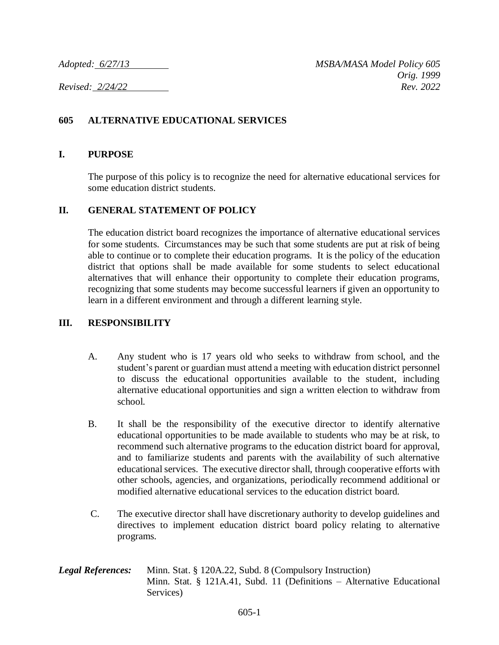## **605 ALTERNATIVE EDUCATIONAL SERVICES**

## **I. PURPOSE**

The purpose of this policy is to recognize the need for alternative educational services for some education district students.

## **II. GENERAL STATEMENT OF POLICY**

The education district board recognizes the importance of alternative educational services for some students. Circumstances may be such that some students are put at risk of being able to continue or to complete their education programs. It is the policy of the education district that options shall be made available for some students to select educational alternatives that will enhance their opportunity to complete their education programs, recognizing that some students may become successful learners if given an opportunity to learn in a different environment and through a different learning style.

## **III. RESPONSIBILITY**

- A. Any student who is 17 years old who seeks to withdraw from school, and the student's parent or guardian must attend a meeting with education district personnel to discuss the educational opportunities available to the student, including alternative educational opportunities and sign a written election to withdraw from school.
- B. It shall be the responsibility of the executive director to identify alternative educational opportunities to be made available to students who may be at risk, to recommend such alternative programs to the education district board for approval, and to familiarize students and parents with the availability of such alternative educational services. The executive director shall, through cooperative efforts with other schools, agencies, and organizations, periodically recommend additional or modified alternative educational services to the education district board.
- C. The executive director shall have discretionary authority to develop guidelines and directives to implement education district board policy relating to alternative programs.
- *Legal References:* Minn. Stat. § 120A.22, Subd. 8 (Compulsory Instruction) Minn. Stat. § 121A.41, Subd. 11 (Definitions – Alternative Educational Services)